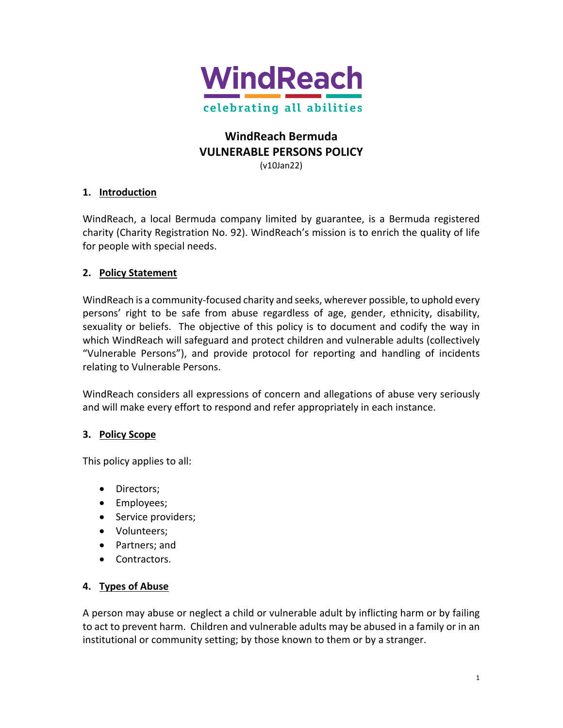

# **WindReach Bermuda VULNERABLE PERSONS POLICY**

(v10Jan22)

## **1. Introduction**

WindReach, a local Bermuda company limited by guarantee, is a Bermuda registered charity (Charity Registration No. 92). WindReach's mission is to enrich the quality of life for people with special needs.

## **2. Policy Statement**

WindReach is a community-focused charity and seeks, wherever possible, to uphold every persons' right to be safe from abuse regardless of age, gender, ethnicity, disability, sexuality or beliefs. The objective of this policy is to document and codify the way in which WindReach will safeguard and protect children and vulnerable adults (collectively "Vulnerable Persons"), and provide protocol for reporting and handling of incidents relating to Vulnerable Persons.

WindReach considers all expressions of concern and allegations of abuse very seriously and will make every effort to respond and refer appropriately in each instance.

## **3. Policy Scope**

This policy applies to all:

- Directors;
- Employees;
- Service providers;
- Volunteers;
- Partners; and
- Contractors.

## **4. Types of Abuse**

A person may abuse or neglect a child or vulnerable adult by inflicting harm or by failing to act to prevent harm. Children and vulnerable adults may be abused in a family or in an institutional or community setting; by those known to them or by a stranger.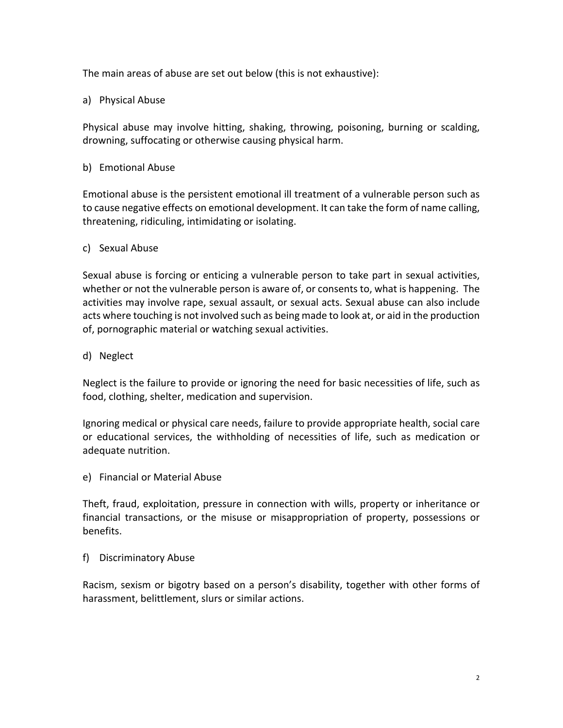The main areas of abuse are set out below (this is not exhaustive):

## a) Physical Abuse

Physical abuse may involve hitting, shaking, throwing, poisoning, burning or scalding, drowning, suffocating or otherwise causing physical harm.

#### b) Emotional Abuse

Emotional abuse is the persistent emotional ill treatment of a vulnerable person such as to cause negative effects on emotional development. It can take the form of name calling, threatening, ridiculing, intimidating or isolating.

## c) Sexual Abuse

Sexual abuse is forcing or enticing a vulnerable person to take part in sexual activities, whether or not the vulnerable person is aware of, or consents to, what is happening. The activities may involve rape, sexual assault, or sexual acts. Sexual abuse can also include acts where touching is not involved such as being made to look at, or aid in the production of, pornographic material or watching sexual activities.

d) Neglect

Neglect is the failure to provide or ignoring the need for basic necessities of life, such as food, clothing, shelter, medication and supervision.

Ignoring medical or physical care needs, failure to provide appropriate health, social care or educational services, the withholding of necessities of life, such as medication or adequate nutrition.

e) Financial or Material Abuse

Theft, fraud, exploitation, pressure in connection with wills, property or inheritance or financial transactions, or the misuse or misappropriation of property, possessions or benefits.

#### f) Discriminatory Abuse

Racism, sexism or bigotry based on a person's disability, together with other forms of harassment, belittlement, slurs or similar actions.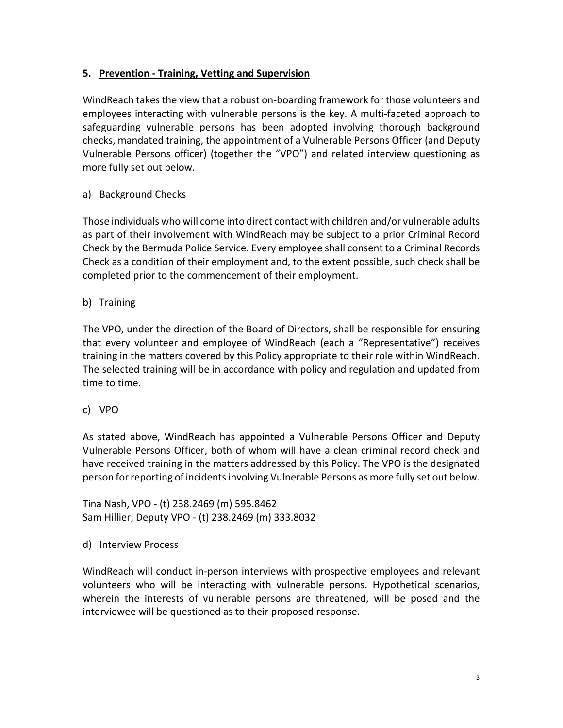## **5. Prevention - Training, Vetting and Supervision**

WindReach takes the view that a robust on-boarding framework for those volunteers and employees interacting with vulnerable persons is the key. A multi-faceted approach to safeguarding vulnerable persons has been adopted involving thorough background checks, mandated training, the appointment of a Vulnerable Persons Officer (and Deputy Vulnerable Persons officer) (together the "VPO") and related interview questioning as more fully set out below.

## a) Background Checks

Those individuals who will come into direct contact with children and/or vulnerable adults as part of their involvement with WindReach may be subject to a prior Criminal Record Check by the Bermuda Police Service. Every employee shall consent to a Criminal Records Check as a condition of their employment and, to the extent possible, such check shall be completed prior to the commencement of their employment.

b) Training

The VPO, under the direction of the Board of Directors, shall be responsible for ensuring that every volunteer and employee of WindReach (each a "Representative") receives training in the matters covered by this Policy appropriate to their role within WindReach. The selected training will be in accordance with policy and regulation and updated from time to time.

c) VPO

As stated above, WindReach has appointed a Vulnerable Persons Officer and Deputy Vulnerable Persons Officer, both of whom will have a clean criminal record check and have received training in the matters addressed by this Policy. The VPO is the designated person for reporting of incidents involving Vulnerable Persons as more fully set out below.

Tina Nash, VPO - (t) 238.2469 (m) 595.8462 Sam Hillier, Deputy VPO - (t) 238.2469 (m) 333.8032

d) Interview Process

WindReach will conduct in-person interviews with prospective employees and relevant volunteers who will be interacting with vulnerable persons. Hypothetical scenarios, wherein the interests of vulnerable persons are threatened, will be posed and the interviewee will be questioned as to their proposed response.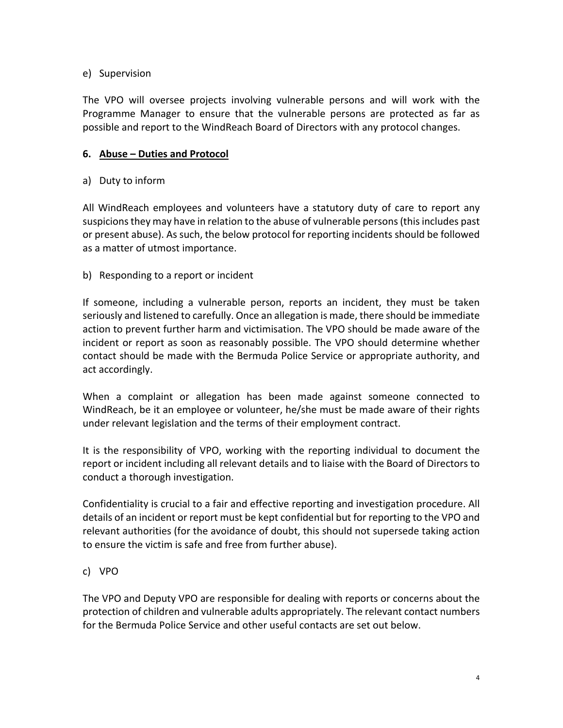## e) Supervision

The VPO will oversee projects involving vulnerable persons and will work with the Programme Manager to ensure that the vulnerable persons are protected as far as possible and report to the WindReach Board of Directors with any protocol changes.

## **6. Abuse – Duties and Protocol**

## a) Duty to inform

All WindReach employees and volunteers have a statutory duty of care to report any suspicions they may have in relation to the abuse of vulnerable persons(this includes past or present abuse). As such, the below protocol for reporting incidents should be followed as a matter of utmost importance.

## b) Responding to a report or incident

If someone, including a vulnerable person, reports an incident, they must be taken seriously and listened to carefully. Once an allegation is made, there should be immediate action to prevent further harm and victimisation. The VPO should be made aware of the incident or report as soon as reasonably possible. The VPO should determine whether contact should be made with the Bermuda Police Service or appropriate authority, and act accordingly.

When a complaint or allegation has been made against someone connected to WindReach, be it an employee or volunteer, he/she must be made aware of their rights under relevant legislation and the terms of their employment contract.

It is the responsibility of VPO, working with the reporting individual to document the report or incident including all relevant details and to liaise with the Board of Directors to conduct a thorough investigation.

Confidentiality is crucial to a fair and effective reporting and investigation procedure. All details of an incident or report must be kept confidential but for reporting to the VPO and relevant authorities (for the avoidance of doubt, this should not supersede taking action to ensure the victim is safe and free from further abuse).

## c) VPO

The VPO and Deputy VPO are responsible for dealing with reports or concerns about the protection of children and vulnerable adults appropriately. The relevant contact numbers for the Bermuda Police Service and other useful contacts are set out below.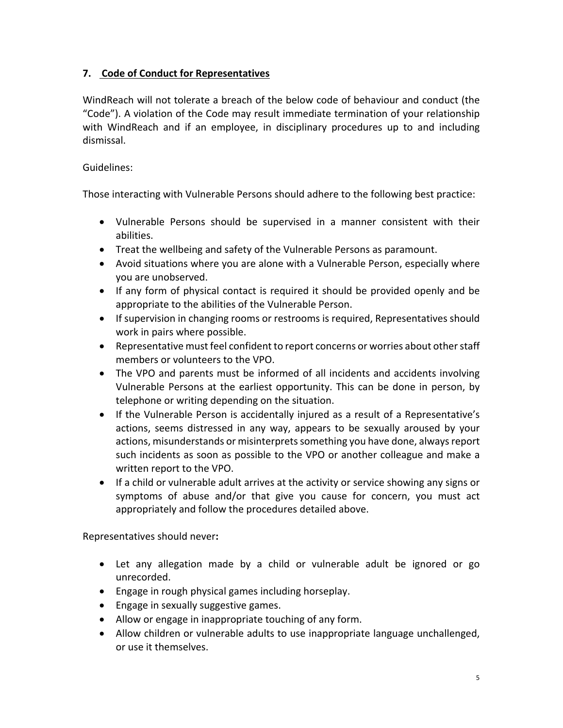## **7. Code of Conduct for Representatives**

WindReach will not tolerate a breach of the below code of behaviour and conduct (the "Code"). A violation of the Code may result immediate termination of your relationship with WindReach and if an employee, in disciplinary procedures up to and including dismissal.

## Guidelines:

Those interacting with Vulnerable Persons should adhere to the following best practice:

- Vulnerable Persons should be supervised in a manner consistent with their abilities.
- Treat the wellbeing and safety of the Vulnerable Persons as paramount.
- Avoid situations where you are alone with a Vulnerable Person, especially where you are unobserved.
- If any form of physical contact is required it should be provided openly and be appropriate to the abilities of the Vulnerable Person.
- If supervision in changing rooms or restrooms is required, Representatives should work in pairs where possible.
- Representative must feel confident to report concerns or worries about other staff members or volunteers to the VPO.
- The VPO and parents must be informed of all incidents and accidents involving Vulnerable Persons at the earliest opportunity. This can be done in person, by telephone or writing depending on the situation.
- If the Vulnerable Person is accidentally injured as a result of a Representative's actions, seems distressed in any way, appears to be sexually aroused by your actions, misunderstands or misinterprets something you have done, always report such incidents as soon as possible to the VPO or another colleague and make a written report to the VPO.
- If a child or vulnerable adult arrives at the activity or service showing any signs or symptoms of abuse and/or that give you cause for concern, you must act appropriately and follow the procedures detailed above.

Representatives should never**:**

- Let any allegation made by a child or vulnerable adult be ignored or go unrecorded.
- Engage in rough physical games including horseplay.
- Engage in sexually suggestive games.
- Allow or engage in inappropriate touching of any form.
- Allow children or vulnerable adults to use inappropriate language unchallenged, or use it themselves.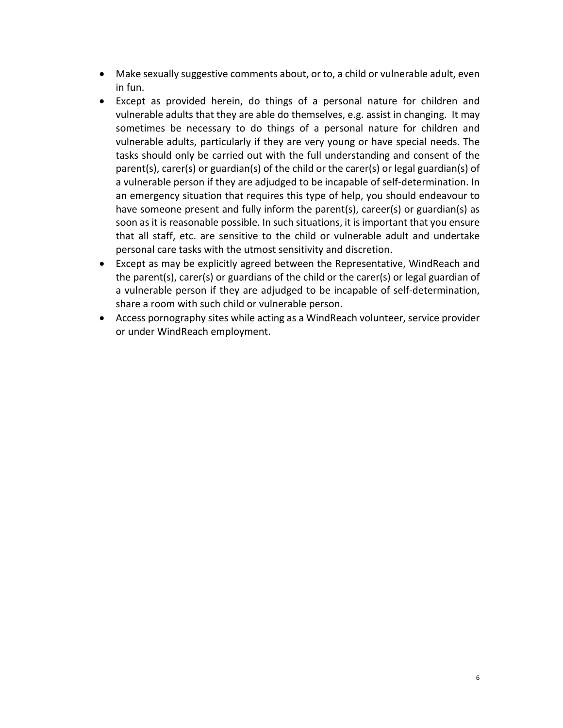- Make sexually suggestive comments about, or to, a child or vulnerable adult, even in fun.
- Except as provided herein, do things of a personal nature for children and vulnerable adults that they are able do themselves, e.g. assist in changing. It may sometimes be necessary to do things of a personal nature for children and vulnerable adults, particularly if they are very young or have special needs. The tasks should only be carried out with the full understanding and consent of the parent(s), carer(s) or guardian(s) of the child or the carer(s) or legal guardian(s) of a vulnerable person if they are adjudged to be incapable of self-determination. In an emergency situation that requires this type of help, you should endeavour to have someone present and fully inform the parent(s), career(s) or guardian(s) as soon as it is reasonable possible. In such situations, it is important that you ensure that all staff, etc. are sensitive to the child or vulnerable adult and undertake personal care tasks with the utmost sensitivity and discretion.
- Except as may be explicitly agreed between the Representative, WindReach and the parent(s), carer(s) or guardians of the child or the carer(s) or legal guardian of a vulnerable person if they are adjudged to be incapable of self-determination, share a room with such child or vulnerable person.
- Access pornography sites while acting as a WindReach volunteer, service provider or under WindReach employment.